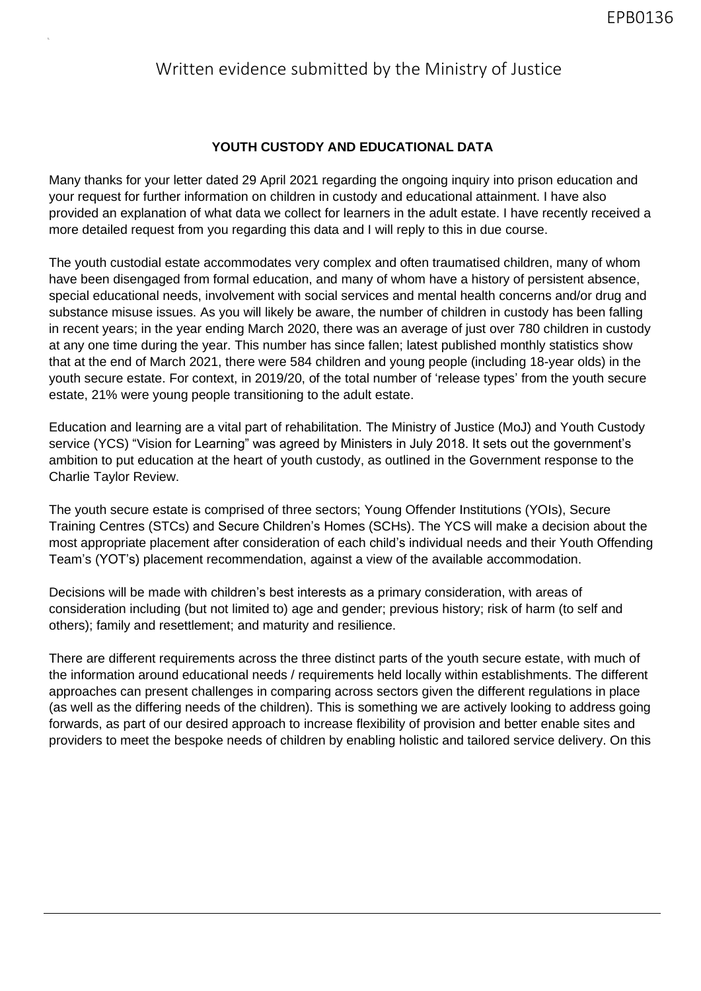## Written evidence submitted by the Ministry of Justice

## **YOUTH CUSTODY AND EDUCATIONAL DATA**

Many thanks for your letter dated 29 April 2021 regarding the ongoing inquiry into prison education and your request for further information on children in custody and educational attainment. I have also provided an explanation of what data we collect for learners in the adult estate. I have recently received a more detailed request from you regarding this data and I will reply to this in due course.

The youth custodial estate accommodates very complex and often traumatised children, many of whom have been disengaged from formal education, and many of whom have a history of persistent absence, special educational needs, involvement with social services and mental health concerns and/or drug and substance misuse issues. As you will likely be aware, the number of children in custody has been falling in recent years; in the year ending March 2020, there was an average of just over 780 children in custody at any one time during the year. This number has since fallen; latest published monthly statistics show that at the end of March 2021, there were 584 children and young people (including 18-year olds) in the youth secure estate. For context, in 2019/20, of the total number of 'release types' from the youth secure estate, 21% were young people transitioning to the adult estate.

Education and learning are a vital part of rehabilitation. The Ministry of Justice (MoJ) and Youth Custody service (YCS) "Vision for Learning" was agreed by Ministers in July 2018. It sets out the government's ambition to put education at the heart of youth custody, as outlined in the Government response to the Charlie Taylor Review.

The youth secure estate is comprised of three sectors; Young Offender Institutions (YOIs), Secure Training Centres (STCs) and Secure Children's Homes (SCHs). The YCS will make a decision about the most appropriate placement after consideration of each child's individual needs and their Youth Offending Team's (YOT's) placement recommendation, against a view of the available accommodation.

Decisions will be made with children's best interests as a primary consideration, with areas of consideration including (but not limited to) age and gender; previous history; risk of harm (to self and others); family and resettlement; and maturity and resilience.

There are different requirements across the three distinct parts of the youth secure estate, with much of the information around educational needs / requirements held locally within establishments. The different approaches can present challenges in comparing across sectors given the different regulations in place (as well as the differing needs of the children). This is something we are actively looking to address going forwards, as part of our desired approach to increase flexibility of provision and better enable sites and providers to meet the bespoke needs of children by enabling holistic and tailored service delivery. On this